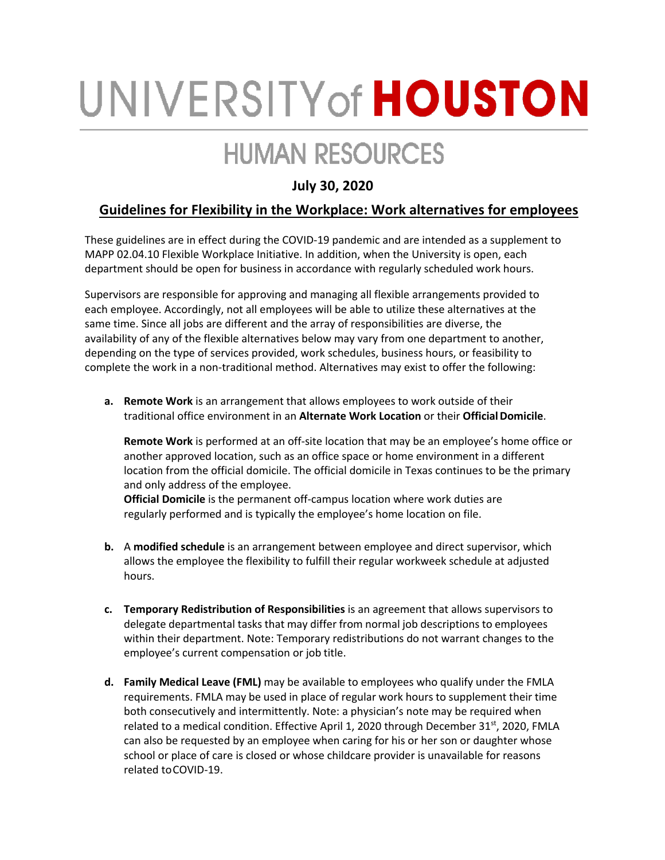## UNIVERSITY of HOUSTON

## **HUMAN RESOURCES**

## **July 30, 2020**

## **Guidelines for Flexibility in the Workplace: Work alternatives for employees**

These guidelines are in effect during the COVID-19 pandemic and are intended as a supplement to MAPP 02.04.10 Flexible Workplace Initiative. In addition, when the University is open, each department should be open for business in accordance with regularly scheduled work hours.

Supervisors are responsible for approving and managing all flexible arrangements provided to each employee. Accordingly, not all employees will be able to utilize these alternatives at the same time. Since all jobs are different and the array of responsibilities are diverse, the availability of any of the flexible alternatives below may vary from one department to another, depending on the type of services provided, work schedules, business hours, or feasibility to complete the work in a non-traditional method. Alternatives may exist to offer the following:

**a. Remote Work** is an arrangement that allows employees to work outside of their traditional office environment in an **Alternate Work Location** or their **OfficialDomicile**.

**Remote Work** is performed at an off-site location that may be an employee's home office or another approved location, such as an office space or home environment in a different location from the official domicile. The official domicile in Texas continues to be the primary and only address of the employee.

**Official Domicile** is the permanent off-campus location where work duties are regularly performed and is typically the employee's home location on file.

- **b.** A **modified schedule** is an arrangement between employee and direct supervisor, which allows the employee the flexibility to fulfill their regular workweek schedule at adjusted hours.
- **c. Temporary Redistribution of Responsibilities** is an agreement that allows supervisors to delegate departmental tasks that may differ from normal job descriptions to employees within their department. Note: Temporary redistributions do not warrant changes to the employee's current compensation or job title.
- **d. Family Medical Leave (FML)** may be available to employees who qualify under the FMLA requirements. FMLA may be used in place of regular work hours to supplement their time both consecutively and intermittently. Note: a physician's note may be required when related to a medical condition. Effective April 1, 2020 through December  $31^{st}$ , 2020, FMLA can also be requested by an employee when caring for his or her son or daughter whose school or place of care is closed or whose childcare provider is unavailable for reasons related toCOVID-19.